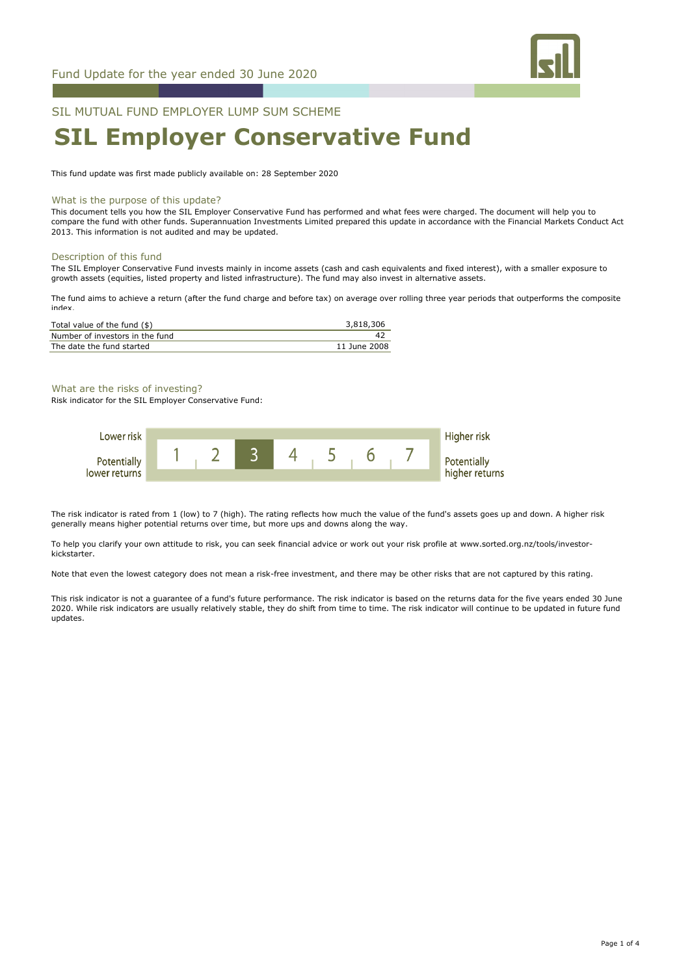

# SIL MUTUAL FUND EMPLOYER LUMP SUM SCHEME **SIL Employer Conservative Fund**

This fund update was first made publicly available on: 28 September 2020

## What is the purpose of this update?

This document tells you how the SIL Employer Conservative Fund has performed and what fees were charged. The document will help you to compare the fund with other funds. Superannuation Investments Limited prepared this update in accordance with the Financial Markets Conduct Act 2013. This information is not audited and may be updated.

#### Description of this fund

The SIL Employer Conservative Fund invests mainly in income assets (cash and cash equivalents and fixed interest), with a smaller exposure to growth assets (equities, listed property and listed infrastructure). The fund may also invest in alternative assets.

The fund aims to achieve a return (after the fund charge and before tax) on average over rolling three year periods that outperforms the composite index.

| Total value of the fund (\$)    | 3,818,306    |
|---------------------------------|--------------|
| Number of investors in the fund |              |
| The date the fund started       | 11 June 2008 |

What are the risks of investing?

Risk indicator for the SIL Employer Conservative Fund:



The risk indicator is rated from 1 (low) to 7 (high). The rating reflects how much the value of the fund's assets goes up and down. A higher risk generally means higher potential returns over time, but more ups and downs along the way.

To help you clarify your own attitude to risk, you can seek financial advice or work out your risk profile at www.sorted.org.nz/tools/investorkickstarter.

Note that even the lowest category does not mean a risk-free investment, and there may be other risks that are not captured by this rating.

This risk indicator is not a guarantee of a fund's future performance. The risk indicator is based on the returns data for the five years ended 30 June 2020. While risk indicators are usually relatively stable, they do shift from time to time. The risk indicator will continue to be updated in future fund updates.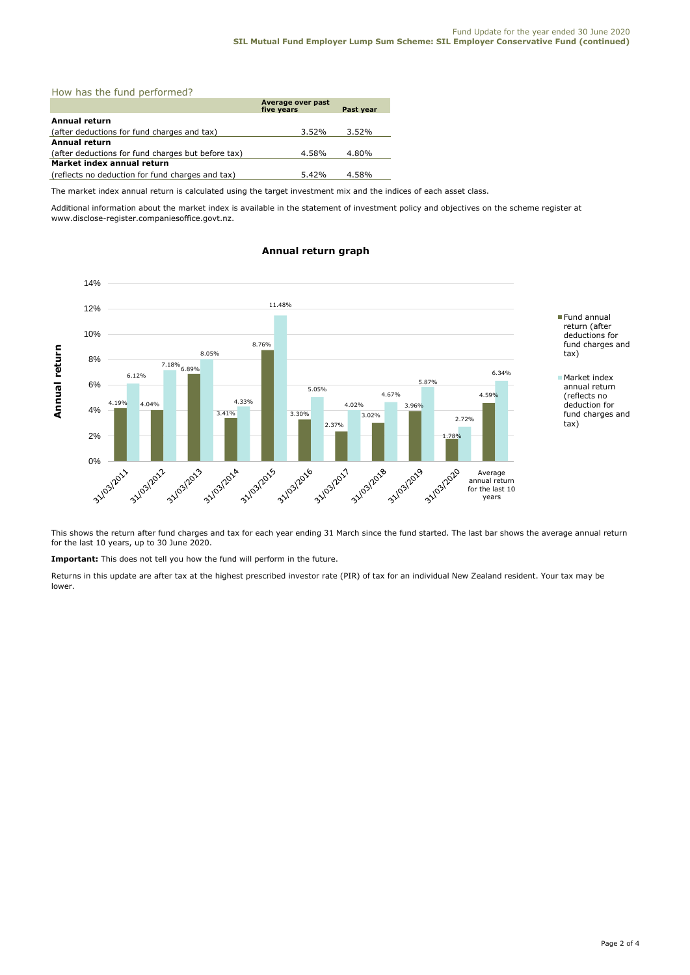|  |  | How has the fund performed? |  |
|--|--|-----------------------------|--|
|  |  |                             |  |

|                                                    | Average over past<br>five years | Past year |  |  |
|----------------------------------------------------|---------------------------------|-----------|--|--|
| Annual return                                      |                                 |           |  |  |
| (after deductions for fund charges and tax)        | 3.52%                           | $3.52\%$  |  |  |
| <b>Annual return</b>                               |                                 |           |  |  |
| (after deductions for fund charges but before tax) | 4.58%                           | 4.80%     |  |  |
| Market index annual return                         |                                 |           |  |  |
| (reflects no deduction for fund charges and tax)   | 5.42%                           | 4.58%     |  |  |

The market index annual return is calculated using the target investment mix and the indices of each asset class.

Additional information about the market index is available in the statement of investment policy and objectives on the scheme register at www.disclose-register.companiesoffice.govt.nz.



# **Annual return graph**

This shows the return after fund charges and tax for each year ending 31 March since the fund started. The last bar shows the average annual return for the last 10 years, up to 30 June 2020.

**Important:** This does not tell you how the fund will perform in the future.

Returns in this update are after tax at the highest prescribed investor rate (PIR) of tax for an individual New Zealand resident. Your tax may be lower.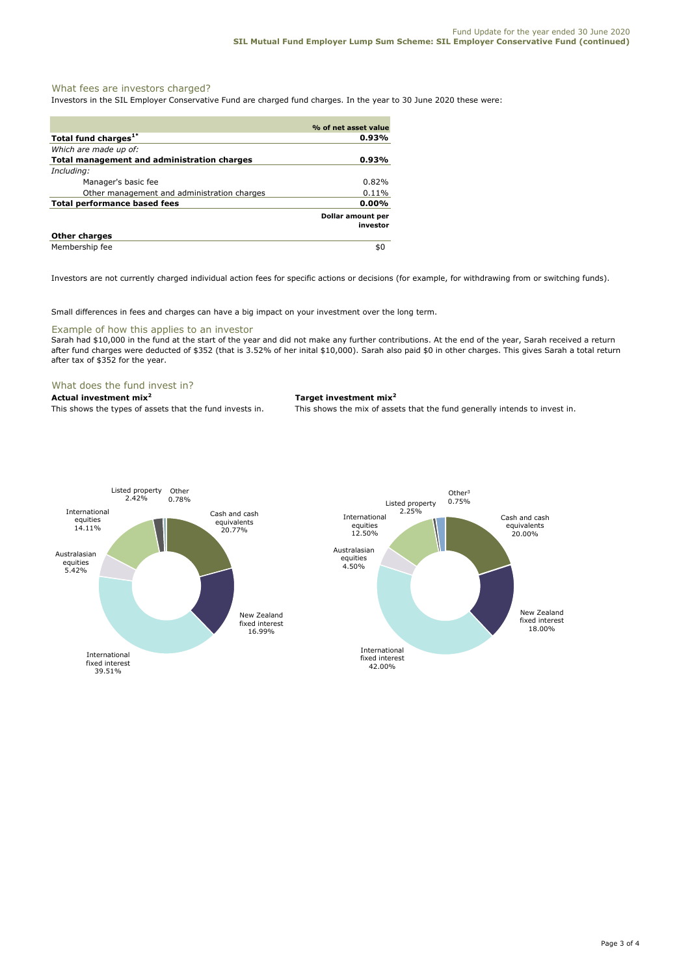# What fees are investors charged?

Investors in the SIL Employer Conservative Fund are charged fund charges. In the year to 30 June 2020 these were:

|                                                    | % of net asset value                 |
|----------------------------------------------------|--------------------------------------|
| Total fund charges <sup>1*</sup>                   | 0.93%                                |
| Which are made up of:                              |                                      |
| <b>Total management and administration charges</b> | 0.93%                                |
| Including:                                         |                                      |
| Manager's basic fee                                | 0.82%                                |
| Other management and administration charges        | 0.11%                                |
| <b>Total performance based fees</b>                | 0.00%                                |
|                                                    | <b>Dollar amount per</b><br>investor |
| <b>Other charges</b>                               |                                      |
| Membership fee                                     | \$0                                  |

Investors are not currently charged individual action fees for specific actions or decisions (for example, for withdrawing from or switching funds).

Small differences in fees and charges can have a big impact on your investment over the long term.

# Example of how this applies to an investor

Sarah had \$10,000 in the fund at the start of the year and did not make any further contributions. At the end of the year, Sarah received a return after fund charges were deducted of \$352 (that is 3.52% of her inital \$10,000). Sarah also paid \$0 in other charges. This gives Sarah a total return after tax of \$352 for the year.

### What does the fund invest in?

# **Actual investment mix<sup>2</sup> Target investment mix<sup>2</sup>**

This shows the types of assets that the fund invests in. This shows the mix of assets that the fund generally intends to invest in.